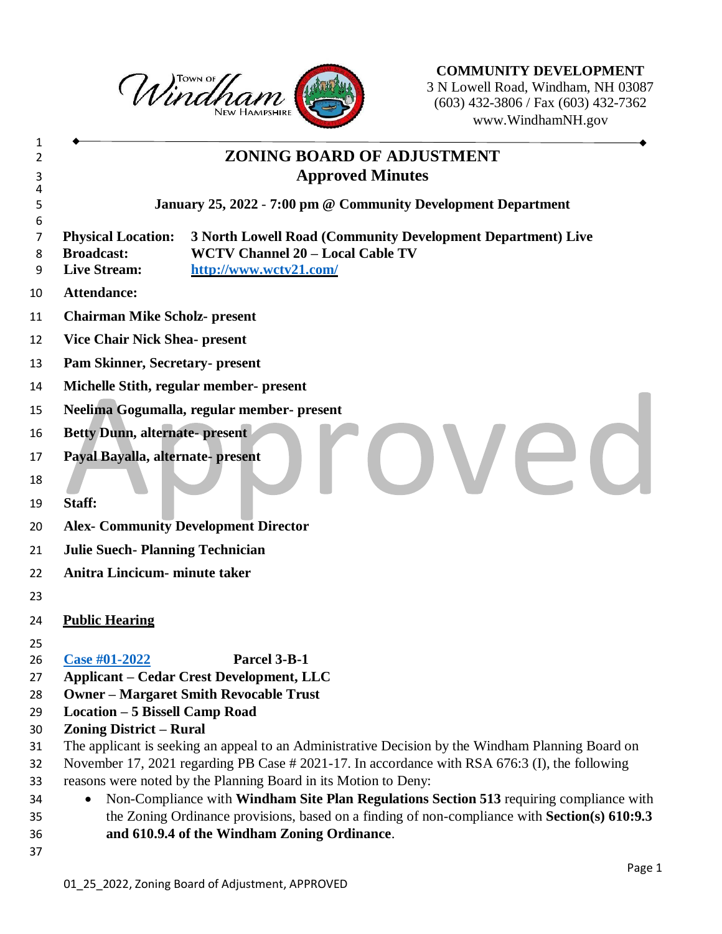

**COMMUNITY DEVELOPMENT** N Lowell Road, Windham, NH 03087 (603) 432-3806 / Fax (603) 432-7362 www.WindhamNH.gov

## **ZONING BOARD OF ADJUSTMENT Approved Minutes January 25, 2022** - **7:00 pm @ Community Development Department Physical Location: 3 North Lowell Road (Community Development Department) Live Broadcast: WCTV Channel 20 – Local Cable TV Live Stream: <http://www.wctv21.com/> Attendance: Chairman Mike Scholz- present Vice Chair Nick Shea- present Pam Skinner, Secretary- present Michelle Stith, regular member- present Neelima Gogumalla, regular member- present Betty Dunn, alternate- present Payal Bayalla, alternate- present Staff: Alex- Community Development Director Julie Suech- Planning Technician Anitra Lincicum- minute taker Public Hearing [Case #01-2022](https://nh-windham.civicplus.com/DocumentCenter/Index/886) Parcel 3-B-1 Applicant – Cedar Crest Development, LLC Owner – Margaret Smith Revocable Trust Location – 5 Bissell Camp Road Zoning District – Rural** The applicant is seeking an appeal to an Administrative Decision by the Windham Planning Board on November 17, 2021 regarding PB Case # 2021-17. In accordance with RSA 676:3 (I), the following reasons were noted by the Planning Board in its Motion to Deny: Non-Compliance with **Windham Site Plan Regulations Section 513** requiring compliance with the Zoning Ordinance provisions, based on a finding of non-compliance with **Section(s) 610:9.3 and 610.9.4 of the Windham Zoning Ordinance**.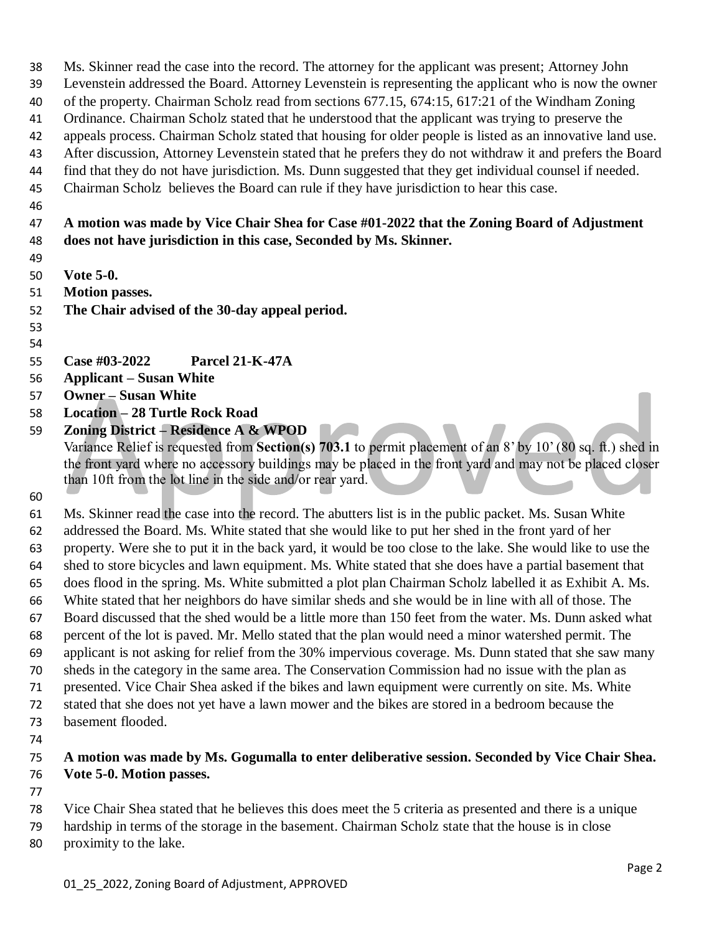Ms. Skinner read the case into the record. The attorney for the applicant was present; Attorney John Levenstein addressed the Board. Attorney Levenstein is representing the applicant who is now the owner of the property. Chairman Scholz read from sections 677.15, 674:15, 617:21 of the Windham Zoning Ordinance. Chairman Scholz stated that he understood that the applicant was trying to preserve the appeals process. Chairman Scholz stated that housing for older people is listed as an innovative land use. After discussion, Attorney Levenstein stated that he prefers they do not withdraw it and prefers the Board find that they do not have jurisdiction. Ms. Dunn suggested that they get individual counsel if needed. Chairman Scholz believes the Board can rule if they have jurisdiction to hear this case. **A motion was made by Vice Chair Shea for Case #01-2022 that the Zoning Board of Adjustment does not have jurisdiction in this case, Seconded by Ms. Skinner. Vote 5-0. Motion passes. The Chair advised of the 30-day appeal period. Case #03-2022 Parcel 21-K-47A Applicant – Susan White Owner – Susan White Location – 28 Turtle Rock Road Zoning District – Residence A & WPOD** Variance Relief is requested from **Section(s) 703.1** to permit placement of an 8' by 10' (80 sq. ft.) shed in

the front yard where no accessory buildings may be placed in the front yard and may not be placed closer than 10ft from the lot line in the side and/or rear yard.

 Ms. Skinner read the case into the record. The abutters list is in the public packet. Ms. Susan White addressed the Board. Ms. White stated that she would like to put her shed in the front yard of her property. Were she to put it in the back yard, it would be too close to the lake. She would like to use the shed to store bicycles and lawn equipment. Ms. White stated that she does have a partial basement that does flood in the spring. Ms. White submitted a plot plan Chairman Scholz labelled it as Exhibit A. Ms. White stated that her neighbors do have similar sheds and she would be in line with all of those. The Board discussed that the shed would be a little more than 150 feet from the water. Ms. Dunn asked what percent of the lot is paved. Mr. Mello stated that the plan would need a minor watershed permit. The applicant is not asking for relief from the 30% impervious coverage. Ms. Dunn stated that she saw many sheds in the category in the same area. The Conservation Commission had no issue with the plan as presented. Vice Chair Shea asked if the bikes and lawn equipment were currently on site. Ms. White stated that she does not yet have a lawn mower and the bikes are stored in a bedroom because the basement flooded.

## **A motion was made by Ms. Gogumalla to enter deliberative session. Seconded by Vice Chair Shea. Vote 5-0. Motion passes.**

 Vice Chair Shea stated that he believes this does meet the 5 criteria as presented and there is a unique hardship in terms of the storage in the basement. Chairman Scholz state that the house is in close proximity to the lake.